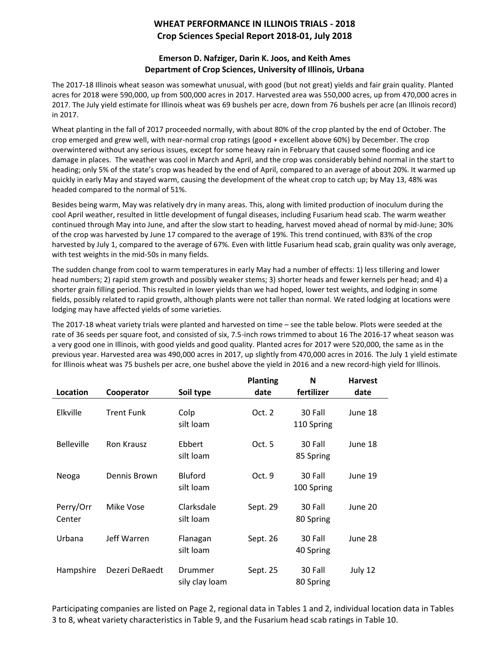## **WHEAT PERFORMANCE IN ILLINOIS TRIALS - 2018 Crop Sciences Special Report 2018-01, July 2018**

## **Emerson D. Nafziger, Darin K. Joos, and Keith Ames Department of Crop Sciences, University of Illinois, Urbana**

The 2017-18 Illinois wheat season was somewhat unusual, with good (but not great) yields and fair grain quality. Planted acres for 2018 were 590,000, up from 500,000 acres in 2017. Harvested area was 550,000 acres, up from 470,000 acres in 2017. The July yield estimate for Illinois wheat was 69 bushels per acre, down from 76 bushels per acre (an Illinois record) in 2017.

Wheat planting in the fall of 2017 proceeded normally, with about 80% of the crop planted by the end of October. The crop emerged and grew well, with near-normal crop ratings (good + excellent above 60%) by December. The crop overwintered without any serious issues, except for some heavy rain in February that caused some flooding and ice damage in places. The weather was cool in March and April, and the crop was considerably behind normal in the start to heading; only 5% of the state's crop was headed by the end of April, compared to an average of about 20%. It warmed up quickly in early May and stayed warm, causing the development of the wheat crop to catch up; by May 13, 48% was headed compared to the normal of 51%.

Besides being warm, May was relatively dry in many areas. This, along with limited production of inoculum during the cool April weather, resulted in little development of fungal diseases, including Fusarium head scab. The warm weather continued through May into June, and after the slow start to heading, harvest moved ahead of normal by mid-June; 30% of the crop was harvested by June 17 compared to the average of 19%. This trend continued, with 83% of the crop harvested by July 1, compared to the average of 67%. Even with little Fusarium head scab, grain quality was only average, with test weights in the mid-50s in many fields.

The sudden change from cool to warm temperatures in early May had a number of effects: 1) less tillering and lower head numbers; 2) rapid stem growth and possibly weaker stems; 3) shorter heads and fewer kernels per head; and 4) a shorter grain filling period. This resulted in lower yields than we had hoped, lower test weights, and lodging in some fields, possibly related to rapid growth, although plants were not taller than normal. We rated lodging at locations were lodging may have affected yields of some varieties.

The 2017-18 wheat variety trials were planted and harvested on time – see the table below. Plots were seeded at the rate of 36 seeds per square foot, and consisted of six, 7.5-inch rows trimmed to about 16 The 2016-17 wheat season was a very good one in Illinois, with good yields and good quality. Planted acres for 2017 were 520,000, the same as in the previous year. Harvested area was 490,000 acres in 2017, up slightly from 470,000 acres in 2016. The July 1 yield estimate for Illinois wheat was 75 bushels per acre, one bushel above the yield in 2016 and a new record-high yield for Illinois.

|                     |                   |                             | <b>Planting</b> | N                     | <b>Harvest</b> |
|---------------------|-------------------|-----------------------------|-----------------|-----------------------|----------------|
| Location            | Cooperator        | Soil type                   | date            | fertilizer            | date           |
| Elkville            | <b>Trent Funk</b> | Colp<br>silt loam           | Oct. 2          | 30 Fall<br>110 Spring | June 18        |
| <b>Belleville</b>   | <b>Ron Krausz</b> | Ebbert<br>silt loam         | Oct.5           | 30 Fall<br>85 Spring  | June 18        |
| Neoga               | Dennis Brown      | <b>Bluford</b><br>silt loam | Oct. 9          | 30 Fall<br>100 Spring | June 19        |
| Perry/Orr<br>Center | Mike Vose         | Clarksdale<br>silt loam     | Sept. 29        | 30 Fall<br>80 Spring  | June 20        |
| Urbana              | Jeff Warren       | Flanagan<br>silt loam       | Sept. 26        | 30 Fall<br>40 Spring  | June 28        |
| Hampshire           | Dezeri DeRaedt    | Drummer<br>sily clay loam   | Sept. 25        | 30 Fall<br>80 Spring  | July 12        |

Participating companies are listed on Page 2, regional data in Tables 1 and 2, individual location data in Tables 3 to 8, wheat variety characteristics in Table 9, and the Fusarium head scab ratings in Table 10.